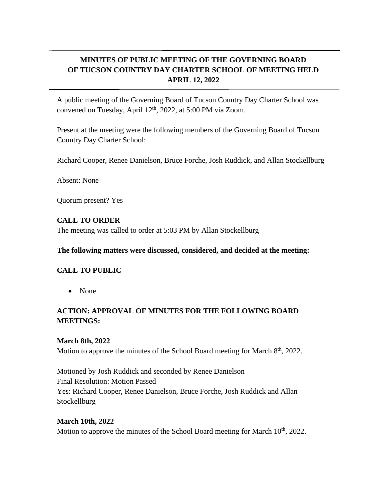# **MINUTES OF PUBLIC MEETING OF THE GOVERNING BOARD OF TUCSON COUNTRY DAY CHARTER SCHOOL OF MEETING HELD APRIL 12, 2022**

A public meeting of the Governing Board of Tucson Country Day Charter School was convened on Tuesday, April 12<sup>th</sup>, 2022, at 5:00 PM via Zoom.

Present at the meeting were the following members of the Governing Board of Tucson Country Day Charter School:

Richard Cooper, Renee Danielson, Bruce Forche, Josh Ruddick, and Allan Stockellburg

Absent: None

Quorum present? Yes

#### **CALL TO ORDER**

The meeting was called to order at 5:03 PM by Allan Stockellburg

#### **The following matters were discussed, considered, and decided at the meeting:**

### **CALL TO PUBLIC**

• None

### **ACTION: APPROVAL OF MINUTES FOR THE FOLLOWING BOARD MEETINGS:**

#### **March 8th, 2022**

Motion to approve the minutes of the School Board meeting for March  $8<sup>th</sup>$ , 2022.

Motioned by Josh Ruddick and seconded by Renee Danielson Final Resolution: Motion Passed Yes: Richard Cooper, Renee Danielson, Bruce Forche, Josh Ruddick and Allan Stockellburg

#### **March 10th, 2022**

Motion to approve the minutes of the School Board meeting for March  $10<sup>th</sup>$ , 2022.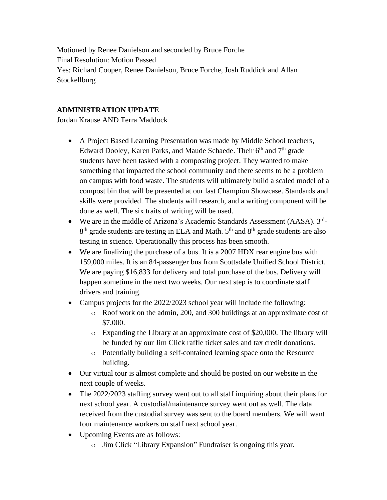Motioned by Renee Danielson and seconded by Bruce Forche Final Resolution: Motion Passed Yes: Richard Cooper, Renee Danielson, Bruce Forche, Josh Ruddick and Allan **Stockellburg** 

### **ADMINISTRATION UPDATE**

Jordan Krause AND Terra Maddock

- A Project Based Learning Presentation was made by Middle School teachers, Edward Dooley, Karen Parks, and Maude Schaede. Their  $6<sup>th</sup>$  and  $7<sup>th</sup>$  grade students have been tasked with a composting project. They wanted to make something that impacted the school community and there seems to be a problem on campus with food waste. The students will ultimately build a scaled model of a compost bin that will be presented at our last Champion Showcase. Standards and skills were provided. The students will research, and a writing component will be done as well. The six traits of writing will be used.
- We are in the middle of Arizona's Academic Standards Assessment (AASA). 3rd-8<sup>th</sup> grade students are testing in ELA and Math. 5<sup>th</sup> and 8<sup>th</sup> grade students are also testing in science. Operationally this process has been smooth.
- We are finalizing the purchase of a bus. It is a 2007 HDX rear engine bus with 159,000 miles. It is an 84-passenger bus from Scottsdale Unified School District. We are paying \$16,833 for delivery and total purchase of the bus. Delivery will happen sometime in the next two weeks. Our next step is to coordinate staff drivers and training.
- Campus projects for the 2022/2023 school year will include the following:
	- o Roof work on the admin, 200, and 300 buildings at an approximate cost of \$7,000.
	- o Expanding the Library at an approximate cost of \$20,000. The library will be funded by our Jim Click raffle ticket sales and tax credit donations.
	- o Potentially building a self-contained learning space onto the Resource building.
- Our virtual tour is almost complete and should be posted on our website in the next couple of weeks.
- The 2022/2023 staffing survey went out to all staff inquiring about their plans for next school year. A custodial/maintenance survey went out as well. The data received from the custodial survey was sent to the board members. We will want four maintenance workers on staff next school year.
- Upcoming Events are as follows:
	- o Jim Click "Library Expansion" Fundraiser is ongoing this year.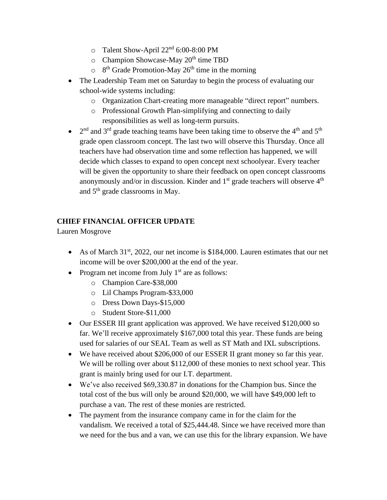- o Talent Show-April 22nd 6:00-8:00 PM
- $\circ$  Champion Showcase-May 20<sup>th</sup> time TBD
- $\circ$  8<sup>th</sup> Grade Promotion-May 26<sup>th</sup> time in the morning
- The Leadership Team met on Saturday to begin the process of evaluating our school-wide systems including:
	- o Organization Chart-creating more manageable "direct report" numbers.
	- o Professional Growth Plan-simplifying and connecting to daily responsibilities as well as long-term pursuits.
- $2<sup>nd</sup>$  and 3<sup>rd</sup> grade teaching teams have been taking time to observe the 4<sup>th</sup> and 5<sup>th</sup> grade open classroom concept. The last two will observe this Thursday. Once all teachers have had observation time and some reflection has happened, we will decide which classes to expand to open concept next schoolyear. Every teacher will be given the opportunity to share their feedback on open concept classrooms anonymously and/or in discussion. Kinder and  $1<sup>st</sup>$  grade teachers will observe  $4<sup>th</sup>$ and 5th grade classrooms in May.

### **CHIEF FINANCIAL OFFICER UPDATE**

Lauren Mosgrove

- As of March 31<sup>st</sup>, 2022, our net income is \$184,000. Lauren estimates that our net income will be over \$200,000 at the end of the year.
- Program net income from July  $1<sup>st</sup>$  are as follows:
	- o Champion Care-\$38,000
	- o Lil Champs Program-\$33,000
	- o Dress Down Days-\$15,000
	- o Student Store-\$11,000
- Our ESSER III grant application was approved. We have received \$120,000 so far. We'll receive approximately \$167,000 total this year. These funds are being used for salaries of our SEAL Team as well as ST Math and IXL subscriptions.
- We have received about \$206,000 of our ESSER II grant money so far this year. We will be rolling over about \$112,000 of these monies to next school year. This grant is mainly bring used for our I.T. department.
- We've also received \$69,330.87 in donations for the Champion bus. Since the total cost of the bus will only be around \$20,000, we will have \$49,000 left to purchase a van. The rest of these monies are restricted.
- The payment from the insurance company came in for the claim for the vandalism. We received a total of \$25,444.48. Since we have received more than we need for the bus and a van, we can use this for the library expansion. We have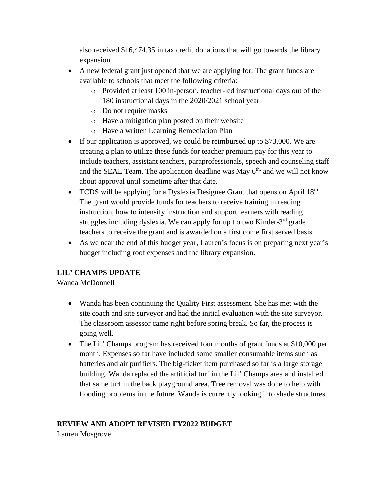also received \$16,474.35 in tax credit donations that will go towards the library expansion.

- A new federal grant just opened that we are applying for. The grant funds are available to schools that meet the following criteria:
	- o Provided at least 100 in-person, teacher-led instructional days out of the 180 instructional days in the 2020/2021 school year
	- o Do not require masks
	- o Have a mitigation plan posted on their website
	- o Have a written Learning Remediation Plan
- If our application is approved, we could be reimbursed up to \$73,000. We are creating a plan to utilize these funds for teacher premium pay for this year to include teachers, assistant teachers, paraprofessionals, speech and counseling staff and the SEAL Team. The application deadline was May  $6<sup>th</sup>$ , and we will not know about approval until sometime after that date.
- TCDS will be applying for a Dyslexia Designee Grant that opens on April  $18<sup>th</sup>$ . The grant would provide funds for teachers to receive training in reading instruction, how to intensify instruction and support learners with reading struggles including dyslexia. We can apply for up t o two Kinder-3<sup>rd</sup> grade teachers to receive the grant and is awarded on a first come first served basis.
- As we near the end of this budget year, Lauren's focus is on preparing next year's budget including roof expenses and the library expansion.

# **LIL' CHAMPS UPDATE**

Wanda McDonnell

- Wanda has been continuing the Quality First assessment. She has met with the site coach and site surveyor and had the initial evaluation with the site surveyor. The classroom assessor came right before spring break. So far, the process is going well.
- The Lil' Champs program has received four months of grant funds at \$10,000 per month. Expenses so far have included some smaller consumable items such as batteries and air purifiers. The big-ticket item purchased so far is a large storage building. Wanda replaced the artificial turf in the Lil' Champs area and installed that same turf in the back playground area. Tree removal was done to help with flooding problems in the future. Wanda is currently looking into shade structures.

# **REVIEW AND ADOPT REVISED FY2022 BUDGET**

Lauren Mosgrove